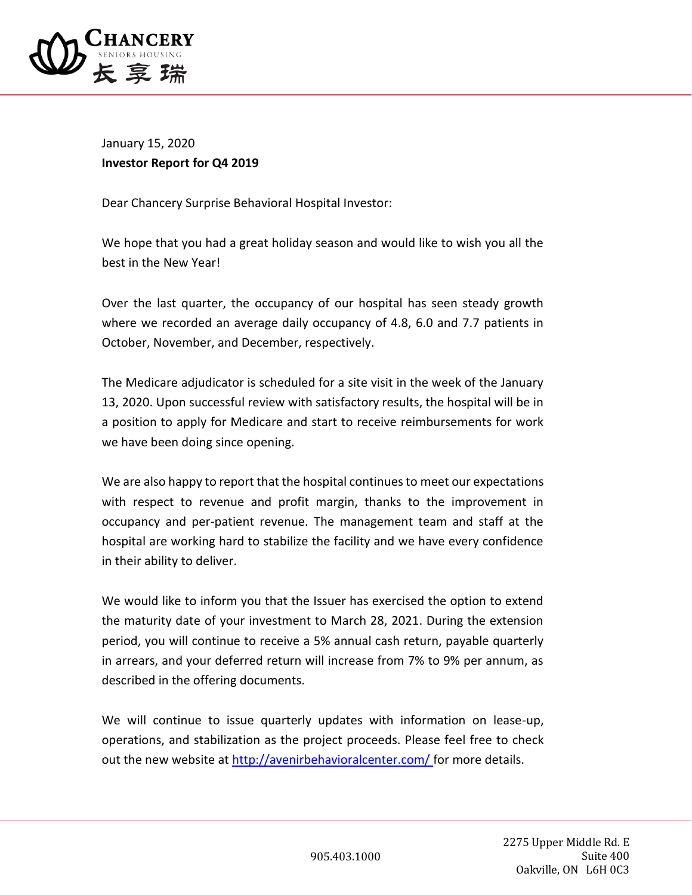

January 15, 2020 **Investor Report for Q4 2019**

Dear Chancery Surprise Behavioral Hospital Investor:

We hope that you had a great holiday season and would like to wish you all the best in the New Year!

Over the last quarter, the occupancy of our hospital has seen steady growth where we recorded an average daily occupancy of 4.8, 6.0 and 7.7 patients in October, November, and December, respectively.

The Medicare adjudicator is scheduled for a site visit in the week of the January 13, 2020. Upon successful review with satisfactory results, the hospital will be in a position to apply for Medicare and start to receive reimbursements for work we have been doing since opening.

We are also happy to report that the hospital continues to meet our expectations with respect to revenue and profit margin, thanks to the improvement in occupancy and per-patient revenue. The management team and staff at the hospital are working hard to stabilize the facility and we have every confidence in their ability to deliver.

We would like to inform you that the Issuer has exercised the option to extend the maturity date of your investment to March 28, 2021. During the extension period, you will continue to receive a 5% annual cash return, payable quarterly in arrears, and your deferred return will increase from 7% to 9% per annum, as described in the offering documents.

We will continue to issue quarterly updates with information on lease-up, operations, and stabilization as the project proceeds. Please feel free to check out the new website at [http://avenirbehavioralcenter.com/ f](http://avenirbehavioralcenter.com/)or more details.